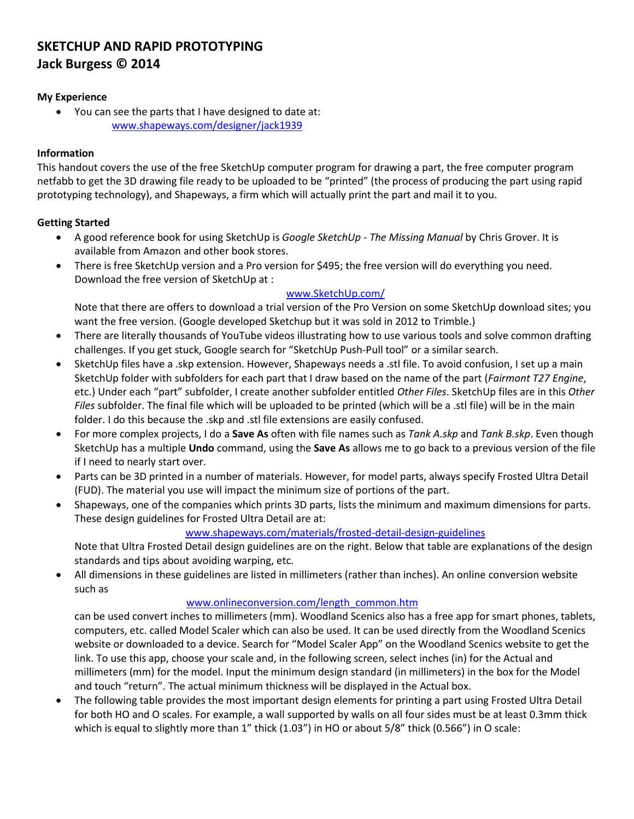# **SKETCHUP AND RAPID PROTOTYPING Jack Burgess © 2014**

## **My Experience**

 You can see the parts that I have designed to date at: [www.shapeways.com/designer/jack1939](https://www.shapeways.com/designer/jack1939)

## **Information**

This handout covers the use of the free SketchUp computer program for drawing a part, the free computer program netfabb to get the 3D drawing file ready to be uploaded to be "printed" (the process of producing the part using rapid prototyping technology), and Shapeways, a firm which will actually print the part and mail it to you.

## **Getting Started**

- A good reference book for using SketchUp is *Google SketchUp - The Missing Manual* by Chris Grover. It is available from Amazon and other book stores.
- There is free SketchUp version and a Pro version for \$495; the free version will do everything you need. Download the free version of SketchUp at :

## [www.SketchUp.com/](www.sketchup.com/)

Note that there are offers to download a trial version of the Pro Version on some SketchUp download sites; you want the free version. (Google developed Sketchup but it was sold in 2012 to Trimble.)

- There are literally thousands of YouTube videos illustrating how to use various tools and solve common drafting challenges. If you get stuck, Google search for "SketchUp Push-Pull tool" or a similar search.
- SketchUp files have a .skp extension. However, Shapeways needs a .stl file. To avoid confusion, I set up a main SketchUp folder with subfolders for each part that I draw based on the name of the part (*Fairmont T27 Engine*, etc.) Under each "part" subfolder, I create another subfolder entitled *Other Files*. SketchUp files are in this *Other Files* subfolder. The final file which will be uploaded to be printed (which will be a .stl file) will be in the main folder. I do this because the .skp and .stl file extensions are easily confused.
- For more complex projects, I do a **Save As** often with file names such as *Tank A.skp* and *Tank B.skp*. Even though SketchUp has a multiple **Undo** command, using the **Save As** allows me to go back to a previous version of the file if I need to nearly start over.
- Parts can be 3D printed in a number of materials. However, for model parts, always specify Frosted Ultra Detail (FUD). The material you use will impact the minimum size of portions of the part.
- Shapeways, one of the companies which prints 3D parts, lists the minimum and maximum dimensions for parts. These design guidelines for Frosted Ultra Detail are at:

<www.shapeways.com/materials/frosted-detail-design-guidelines>

Note that Ultra Frosted Detail design guidelines are on the right. Below that table are explanations of the design standards and tips about avoiding warping, etc.

 All dimensions in these guidelines are listed in millimeters (rather than inches). An online conversion website such as

#### [www.onlineconversion.com/length\\_common.htm](www.onlineconversion.com/length_common.htm)

can be used convert inches to millimeters (mm). Woodland Scenics also has a free app for smart phones, tablets, computers, etc. called Model Scaler which can also be used. It can be used directly from the Woodland Scenics website or downloaded to a device. Search for "Model Scaler App" on the Woodland Scenics website to get the link. To use this app, choose your scale and, in the following screen, select inches (in) for the Actual and millimeters (mm) for the model. Input the minimum design standard (in millimeters) in the box for the Model and touch "return". The actual minimum thickness will be displayed in the Actual box.

 The following table provides the most important design elements for printing a part using Frosted Ultra Detail for both HO and O scales. For example, a wall supported by walls on all four sides must be at least 0.3mm thick which is equal to slightly more than 1" thick (1.03") in HO or about 5/8" thick (0.566") in O scale: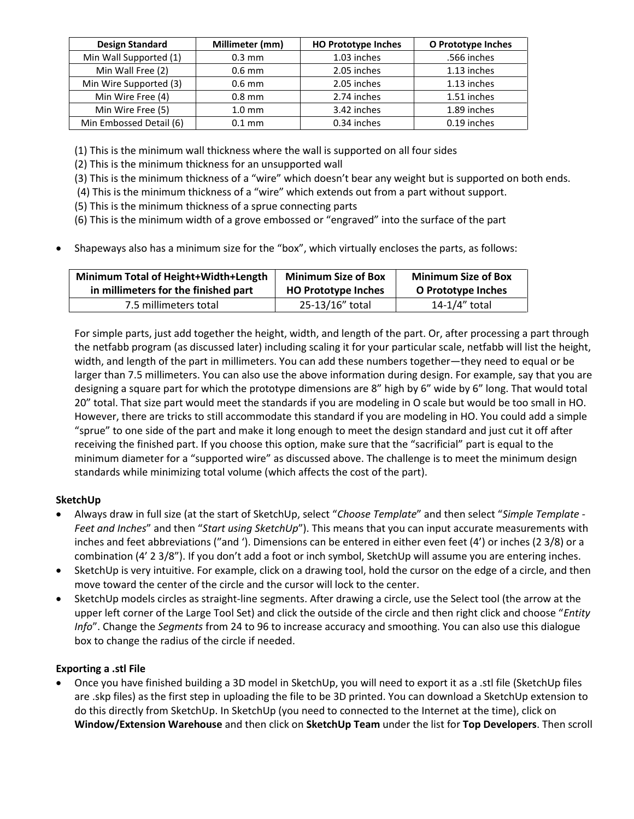| <b>Design Standard</b>  | Millimeter (mm)  | <b>HO Prototype Inches</b> | O Prototype Inches |
|-------------------------|------------------|----------------------------|--------------------|
| Min Wall Supported (1)  | $0.3 \text{ mm}$ | 1.03 inches                | .566 inches        |
| Min Wall Free (2)       | $0.6$ mm         | 2.05 inches                | 1.13 inches        |
| Min Wire Supported (3)  | $0.6$ mm         | 2.05 inches                | 1.13 inches        |
| Min Wire Free (4)       | $0.8$ mm         | 2.74 inches                | 1.51 inches        |
| Min Wire Free (5)       | $1.0 \text{ mm}$ | 3.42 inches                | 1.89 inches        |
| Min Embossed Detail (6) | $0.1$ mm         | 0.34 inches                | 0.19 inches        |

(1) This is the minimum wall thickness where the wall is supported on all four sides

(2) This is the minimum thickness for an unsupported wall

- (3) This is the minimum thickness of a "wire" which doesn't bear any weight but is supported on both ends.
- (4) This is the minimum thickness of a "wire" which extends out from a part without support.
- (5) This is the minimum thickness of a sprue connecting parts
- (6) This is the minimum width of a grove embossed or "engraved" into the surface of the part
- Shapeways also has a minimum size for the "box", which virtually encloses the parts, as follows:

| Minimum Total of Height+Width+Length | <b>Minimum Size of Box</b> | <b>Minimum Size of Box</b> |
|--------------------------------------|----------------------------|----------------------------|
| in millimeters for the finished part | <b>HO Prototype Inches</b> | O Prototype Inches         |
| 7.5 millimeters total                | 25-13/16" total            | 14-1/4" total              |

For simple parts, just add together the height, width, and length of the part. Or, after processing a part through the netfabb program (as discussed later) including scaling it for your particular scale, netfabb will list the height, width, and length of the part in millimeters. You can add these numbers together—they need to equal or be larger than 7.5 millimeters. You can also use the above information during design. For example, say that you are designing a square part for which the prototype dimensions are 8" high by 6" wide by 6" long. That would total 20" total. That size part would meet the standards if you are modeling in O scale but would be too small in HO. However, there are tricks to still accommodate this standard if you are modeling in HO. You could add a simple "sprue" to one side of the part and make it long enough to meet the design standard and just cut it off after receiving the finished part. If you choose this option, make sure that the "sacrificial" part is equal to the minimum diameter for a "supported wire" as discussed above. The challenge is to meet the minimum design standards while minimizing total volume (which affects the cost of the part).

# **SketchUp**

- Always draw in full size (at the start of SketchUp, select "*Choose Template*" and then select "*Simple Template - Feet and Inches*" and then "*Start using SketchUp*"). This means that you can input accurate measurements with inches and feet abbreviations (″and '). Dimensions can be entered in either even feet (4') or inches (2 3/8) or a combination (4' 2 3/8"). If you don't add a foot or inch symbol, SketchUp will assume you are entering inches.
- SketchUp is very intuitive. For example, click on a drawing tool, hold the cursor on the edge of a circle, and then move toward the center of the circle and the cursor will lock to the center.
- SketchUp models circles as straight-line segments. After drawing a circle, use the Select tool (the arrow at the upper left corner of the Large Tool Set) and click the outside of the circle and then right click and choose "*Entity Info*". Change the *Segments* from 24 to 96 to increase accuracy and smoothing. You can also use this dialogue box to change the radius of the circle if needed.

# **Exporting a .stl File**

 Once you have finished building a 3D model in SketchUp, you will need to export it as a .stl file (SketchUp files are .skp files) as the first step in uploading the file to be 3D printed. You can download a SketchUp extension to do this directly from SketchUp. In SketchUp (you need to connected to the Internet at the time), click on **Window/Extension Warehouse** and then click on **SketchUp Team** under the list for **Top Developers**. Then scroll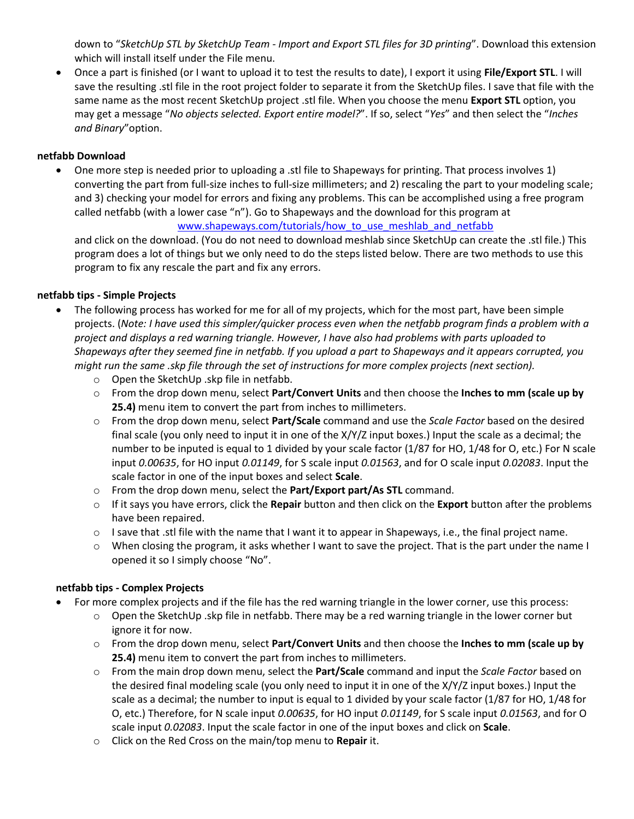down to "*SketchUp STL by SketchUp Team - Import and Export STL files for 3D printing*". Download this extension which will install itself under the File menu.

 Once a part is finished (or I want to upload it to test the results to date), I export it using **File/Export STL**. I will save the resulting .stl file in the root project folder to separate it from the SketchUp files. I save that file with the same name as the most recent SketchUp project .stl file. When you choose the menu **Export STL** option, you may get a message "*No objects selected. Export entire model?*". If so, select "*Yes*" and then select the "*Inches and Binary*"option.

# **netfabb Download**

 One more step is needed prior to uploading a .stl file to Shapeways for printing. That process involves 1) converting the part from full-size inches to full-size millimeters; and 2) rescaling the part to your modeling scale; and 3) checking your model for errors and fixing any problems. This can be accomplished using a free program called netfabb (with a lower case "n"). Go to Shapeways and the download for this program at

www.shapeways.com/tutorials/how to use meshlab and netfabb

and click on the download. (You do not need to download meshlab since SketchUp can create the .stl file.) This program does a lot of things but we only need to do the steps listed below. There are two methods to use this program to fix any rescale the part and fix any errors.

# **netfabb tips - Simple Projects**

- The following process has worked for me for all of my projects, which for the most part, have been simple projects. (*Note: I have used this simpler/quicker process even when the netfabb program finds a problem with a project and displays a red warning triangle. However, I have also had problems with parts uploaded to Shapeways after they seemed fine in netfabb. If you upload a part to Shapeways and it appears corrupted, you might run the same .skp file through the set of instructions for more complex projects (next section).*
	- o Open the SketchUp .skp file in netfabb.
	- o From the drop down menu, select **Part/Convert Units** and then choose the **Inches to mm (scale up by 25.4)** menu item to convert the part from inches to millimeters.
	- o From the drop down menu, select **Part/Scale** command and use the *Scale Factor* based on the desired final scale (you only need to input it in one of the X/Y/Z input boxes.) Input the scale as a decimal; the number to be inputed is equal to 1 divided by your scale factor (1/87 for HO, 1/48 for O, etc.) For N scale input *0.00635*, for HO input *0.01149*, for S scale input *0.01563*, and for O scale input *0.02083*. Input the scale factor in one of the input boxes and select **Scale**.
	- o From the drop down menu, select the **Part/Export part/As STL** command.
	- o If it says you have errors, click the **Repair** button and then click on the **Export** button after the problems have been repaired.
	- $\circ$  I save that .stl file with the name that I want it to appear in Shapeways, i.e., the final project name.
	- o When closing the program, it asks whether I want to save the project. That is the part under the name I opened it so I simply choose "No".

# **netfabb tips - Complex Projects**

- For more complex projects and if the file has the red warning triangle in the lower corner, use this process:
	- $\circ$  Open the SketchUp .skp file in netfabb. There may be a red warning triangle in the lower corner but ignore it for now.
	- o From the drop down menu, select **Part/Convert Units** and then choose the **Inches to mm (scale up by 25.4)** menu item to convert the part from inches to millimeters.
	- o From the main drop down menu, select the **Part/Scale** command and input the *Scale Factor* based on the desired final modeling scale (you only need to input it in one of the X/Y/Z input boxes.) Input the scale as a decimal; the number to input is equal to 1 divided by your scale factor (1/87 for HO, 1/48 for O, etc.) Therefore, for N scale input *0.00635*, for HO input *0.01149*, for S scale input *0.01563*, and for O scale input *0.02083*. Input the scale factor in one of the input boxes and click on **Scale**.
	- o Click on the Red Cross on the main/top menu to **Repair** it.